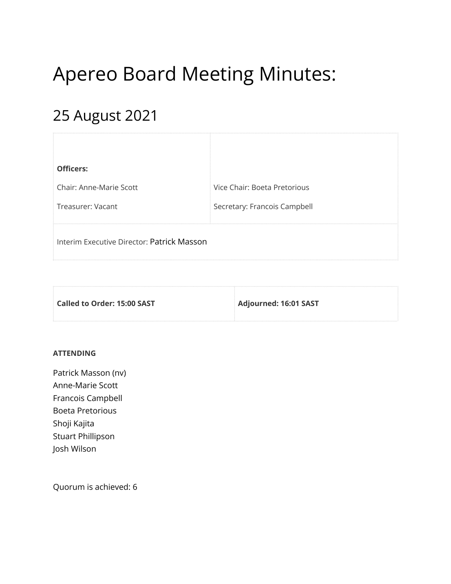# Apereo Board Meeting Minutes:

# 25 August 2021

| <b>Officers:</b>                           |                              |
|--------------------------------------------|------------------------------|
| Chair: Anne-Marie Scott                    | Vice Chair: Boeta Pretorious |
| Treasurer: Vacant                          | Secretary: Francois Campbell |
| Interim Executive Director: Patrick Masson |                              |

| $\,$ Called to Order: 15:00 SAST $\,$ | Adjourned: 16:01 SAST |
|---------------------------------------|-----------------------|
|                                       |                       |

## **ATTENDING**

Patrick Masson (nv) Anne-Marie Scott Francois Campbell Boeta Pretorious Shoji Kajita Stuart Phillipson Josh Wilson

Quorum is achieved: 6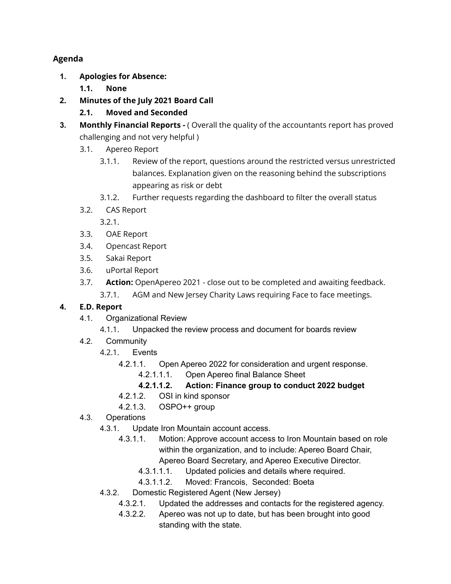# **Agenda**

- **1. Apologies for Absence:**
	- **1.1. None**
- **2. Minutes of the July 2021 Board Call**
	- **2.1. Moved and Seconded**
- **3. Monthly Financial Reports -** ( Overall the quality of the accountants report has proved challenging and not very helpful )
	- 3.1. Apereo Report
		- 3.1.1. Review of the report, questions around the restricted versus unrestricted balances. Explanation given on the reasoning behind the subscriptions appearing as risk or debt
		- 3.1.2. Further requests regarding the dashboard to filter the overall status
	- 3.2. CAS Report
		- 3.2.1.
	- 3.3. OAE Report
	- 3.4. Opencast Report
	- 3.5. Sakai Report
	- 3.6. uPortal Report
	- 3.7. **Action:** OpenApereo 2021 close out to be completed and awaiting feedback.
		- 3.7.1. AGM and New Jersey Charity Laws requiring Face to face meetings.

# **4. E.D. Report**

- 4.1. Organizational Review
	- 4.1.1. Unpacked the review process and document for boards review
- 4.2. Community
	- 4.2.1. Events
		- 4.2.1.1. Open Apereo 2022 for consideration and urgent response.
			- 4.2.1.1.1. Open Apereo final Balance Sheet
			- **4.2.1.1.2. Action: Finance group to conduct 2022 budget**
		- 4.2.1.2. OSI in kind sponsor
		- 4.2.1.3. OSPO++ group
- 4.3. Operations
	- 4.3.1. Update Iron Mountain account access.
		- 4.3.1.1. Motion: Approve account access to Iron Mountain based on role within the organization, and to include: Apereo Board Chair, Apereo Board Secretary, and Apereo Executive Director.
			- 4.3.1.1.1. Updated policies and details where required.
			- 4.3.1.1.2. Moved: Francois, Seconded: Boeta
	- 4.3.2. Domestic Registered Agent (New Jersey)
		- 4.3.2.1. Updated the addresses and contacts for the registered agency.
		- 4.3.2.2. Apereo was not up to date, but has been brought into good standing with the state.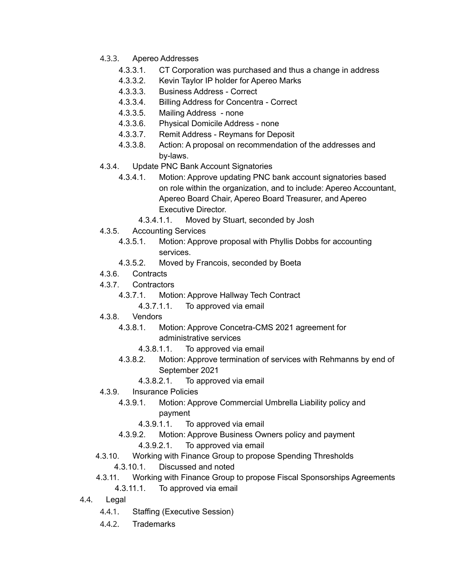- 4.3.3. Apereo Addresses
	- 4.3.3.1. CT Corporation was purchased and thus a change in address
	- 4.3.3.2. Kevin Taylor IP holder for Apereo Marks
	- 4.3.3.3. Business Address Correct
	- 4.3.3.4. Billing Address for Concentra Correct
	- 4.3.3.5. Mailing Address none
	- 4.3.3.6. Physical Domicile Address none
	- 4.3.3.7. Remit Address Reymans for Deposit
	- 4.3.3.8. Action: A proposal on recommendation of the addresses and by-laws.
- 4.3.4. Update PNC Bank Account Signatories
	- 4.3.4.1. Motion: Approve updating PNC bank account signatories based on role within the organization, and to include: Apereo Accountant, Apereo Board Chair, Apereo Board Treasurer, and Apereo Executive Director.
		- 4.3.4.1.1. Moved by Stuart, seconded by Josh
- 4.3.5. Accounting Services
	- 4.3.5.1. Motion: Approve proposal with Phyllis Dobbs for accounting services.
	- 4.3.5.2. Moved by Francois, seconded by Boeta
- 4.3.6. Contracts
- 4.3.7. Contractors
	- 4.3.7.1. Motion: Approve Hallway Tech Contract
		- 4.3.7.1.1. To approved via email
- 4.3.8. Vendors
	- 4.3.8.1. Motion: Approve Concetra-CMS 2021 agreement for administrative services
		- 4.3.8.1.1. To approved via email
	- 4.3.8.2. Motion: Approve termination of services with Rehmanns by end of September 2021
		- 4.3.8.2.1. To approved via email
- 4.3.9. Insurance Policies
	- 4.3.9.1. Motion: Approve Commercial Umbrella Liability policy and payment
		- 4.3.9.1.1. To approved via email
	- 4.3.9.2. Motion: Approve Business Owners policy and payment
		- 4.3.9.2.1. To approved via email
- 4.3.10. Working with Finance Group to propose Spending Thresholds
	- 4.3.10.1. Discussed and noted
- 4.3.11. Working with Finance Group to propose Fiscal Sponsorships Agreements 4.3.11.1. To approved via email
- 4.4. Legal
	- 4.4.1. Staffing (Executive Session)
	- 4.4.2. Trademarks